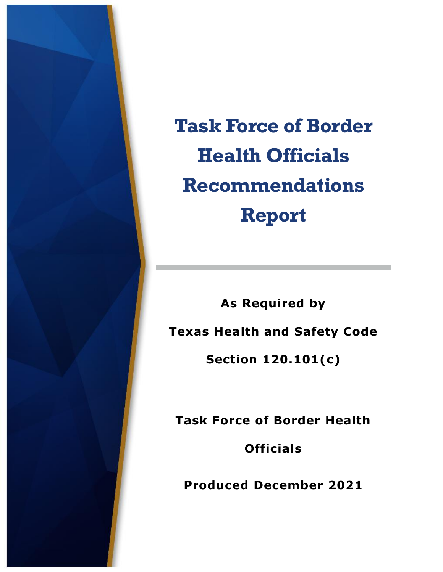

**Task Force of Border Health Officials Recommendations Report**

**As Required by Texas Health and Safety Code Section 120.101(c)**

**Task Force of Border Health Officials**

**Produced December 2021**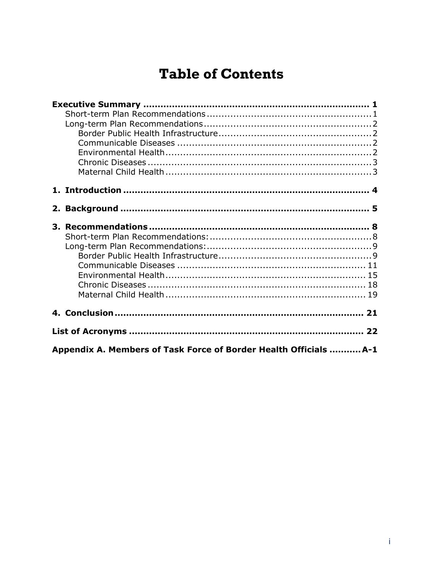# **Table of Contents**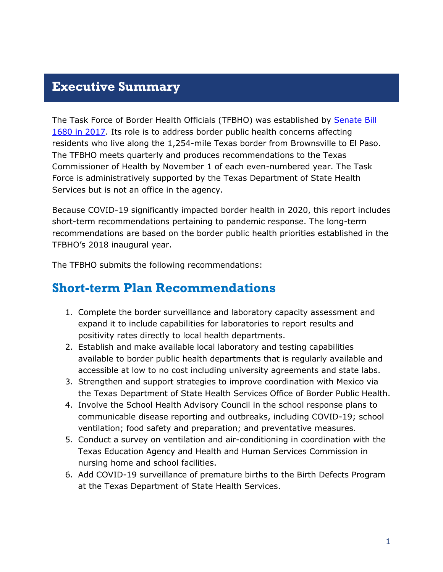## <span id="page-2-0"></span>**Executive Summary**

The Task Force of Border Health Officials (TFBHO) was established by [Senate Bill](https://capitol.texas.gov/BillLookup/History.aspx?LegSess=85R&Bill=SB1680)  [1680](https://capitol.texas.gov/BillLookup/History.aspx?LegSess=85R&Bill=SB1680) in 2017. Its role is to address border public health concerns affecting residents who live along the 1,254-mile Texas border from Brownsville to El Paso. The TFBHO meets quarterly and produces recommendations to the Texas Commissioner of Health by November 1 of each even-numbered year. The Task Force is administratively supported by the Texas Department of State Health Services but is not an office in the agency.

Because COVID-19 significantly impacted border health in 2020, this report includes short-term recommendations pertaining to pandemic response. The long-term recommendations are based on the border public health priorities established in the TFBHO's 2018 inaugural year.

The TFBHO submits the following recommendations:

## <span id="page-2-1"></span>**Short-term Plan Recommendations**

- 1. Complete the border surveillance and laboratory capacity assessment and expand it to include capabilities for laboratories to report results and positivity rates directly to local health departments.
- 2. Establish and make available local laboratory and testing capabilities available to border public health departments that is regularly available and accessible at low to no cost including university agreements and state labs.
- 3. Strengthen and support strategies to improve coordination with Mexico via the Texas Department of State Health Services Office of Border Public Health.
- 4. Involve the School Health Advisory Council in the school response plans to communicable disease reporting and outbreaks, including COVID-19; school ventilation; food safety and preparation; and preventative measures.
- 5. Conduct a survey on ventilation and air-conditioning in coordination with the Texas Education Agency and Health and Human Services Commission in nursing home and school facilities.
- 6. Add COVID-19 surveillance of premature births to the Birth Defects Program at the Texas Department of State Health Services.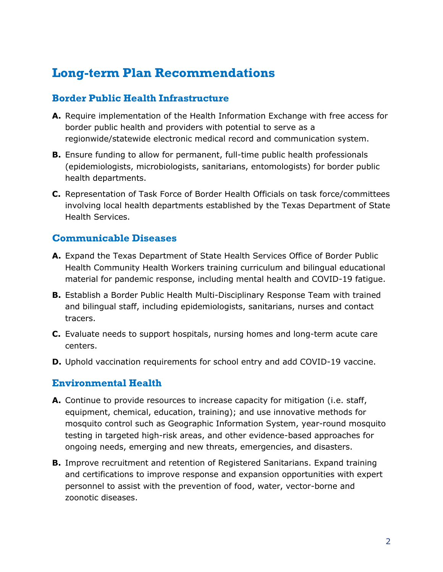## <span id="page-3-0"></span>**Long-term Plan Recommendations**

#### <span id="page-3-1"></span>**Border Public Health Infrastructure**

- **A.** Require implementation of the Health Information Exchange with free access for border public health and providers with potential to serve as a regionwide/statewide electronic medical record and communication system.
- **B.** Ensure funding to allow for permanent, full-time public health professionals (epidemiologists, microbiologists, sanitarians, entomologists) for border public health departments.
- **C.** Representation of Task Force of Border Health Officials on task force/committees involving local health departments established by the Texas Department of State Health Services.

#### <span id="page-3-2"></span>**Communicable Diseases**

- **A.** Expand the Texas Department of State Health Services Office of Border Public Health Community Health Workers training curriculum and bilingual educational material for pandemic response, including mental health and COVID-19 fatigue.
- **B.** Establish a Border Public Health Multi-Disciplinary Response Team with trained and bilingual staff, including epidemiologists, sanitarians, nurses and contact tracers.
- **C.** Evaluate needs to support hospitals, nursing homes and long-term acute care centers.
- **D.** Uphold vaccination requirements for school entry and add COVID-19 vaccine.

#### <span id="page-3-3"></span>**Environmental Health**

- **A.** Continue to provide resources to increase capacity for mitigation (i.e. staff, equipment, chemical, education, training); and use innovative methods for mosquito control such as Geographic Information System, year-round mosquito testing in targeted high-risk areas, and other evidence-based approaches for ongoing needs, emerging and new threats, emergencies, and disasters.
- **B.** Improve recruitment and retention of Registered Sanitarians. Expand training and certifications to improve response and expansion opportunities with expert personnel to assist with the prevention of food, water, vector-borne and zoonotic diseases.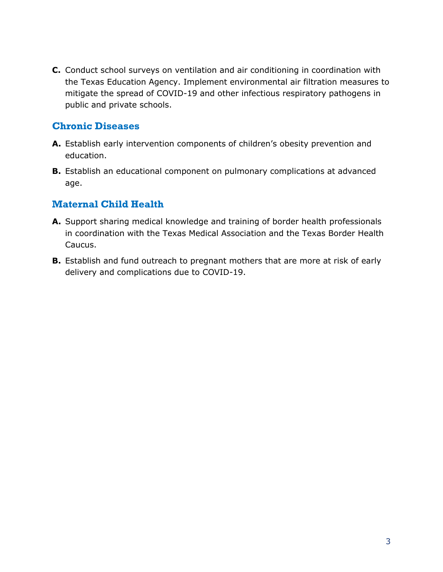**C.** Conduct school surveys on ventilation and air conditioning in coordination with the Texas Education Agency. Implement environmental air filtration measures to mitigate the spread of COVID-19 and other infectious respiratory pathogens in public and private schools.

### <span id="page-4-0"></span>**Chronic Diseases**

- **A.** Establish early intervention components of children's obesity prevention and education.
- **B.** Establish an educational component on pulmonary complications at advanced age.

#### <span id="page-4-1"></span>**Maternal Child Health**

- **A.** Support sharing medical knowledge and training of border health professionals in coordination with the Texas Medical Association and the Texas Border Health Caucus.
- **B.** Establish and fund outreach to pregnant mothers that are more at risk of early delivery and complications due to COVID-19.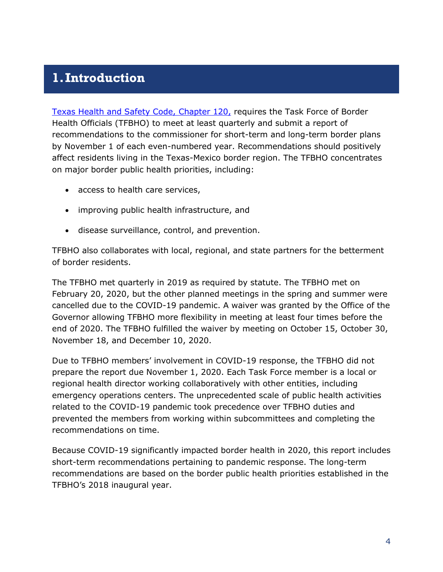## <span id="page-5-0"></span>**1.Introduction**

[Texas Health and Safety Code, Chapter 120,](https://statutes.capitol.texas.gov/Docs/HS/htm/HS.120.htm) requires the Task Force of Border Health Officials (TFBHO) to meet at least quarterly and submit a report of recommendations to the commissioner for short-term and long-term border plans by November 1 of each even-numbered year. Recommendations should positively affect residents living in the Texas-Mexico border region. The TFBHO concentrates on major border public health priorities, including:

- access to health care services,
- improving public health infrastructure, and
- disease surveillance, control, and prevention.

TFBHO also collaborates with local, regional, and state partners for the betterment of border residents.

The TFBHO met quarterly in 2019 as required by statute. The TFBHO met on February 20, 2020, but the other planned meetings in the spring and summer were cancelled due to the COVID-19 pandemic. A waiver was granted by the Office of the Governor allowing TFBHO more flexibility in meeting at least four times before the end of 2020. The TFBHO fulfilled the waiver by meeting on October 15, October 30, November 18, and December 10, 2020.

Due to TFBHO members' involvement in COVID-19 response, the TFBHO did not prepare the report due November 1, 2020. Each Task Force member is a local or regional health director working collaboratively with other entities, including emergency operations centers. The unprecedented scale of public health activities related to the COVID-19 pandemic took precedence over TFBHO duties and prevented the members from working within subcommittees and completing the recommendations on time.

Because COVID-19 significantly impacted border health in 2020, this report includes short-term recommendations pertaining to pandemic response. The long-term recommendations are based on the border public health priorities established in the TFBHO's 2018 inaugural year.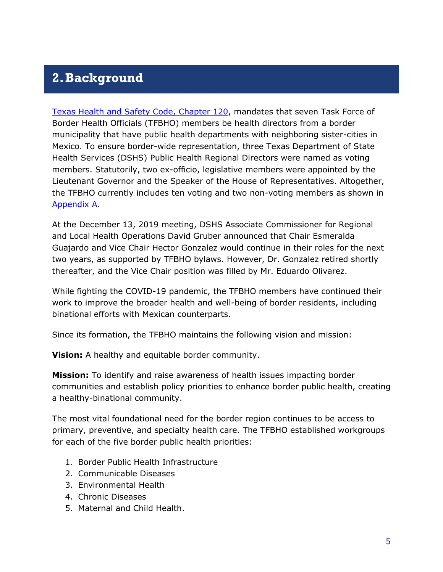## <span id="page-6-0"></span>**2.Background**

[Texas Health and Safety Code, Chapter 120,](https://statutes.capitol.texas.gov/Docs/HS/htm/HS.120.htm) mandates that seven Task Force of Border Health Officials (TFBHO) members be health directors from a border municipality that have public health departments with neighboring sister-cities in Mexico. To ensure border-wide representation, three Texas Department of State Health Services (DSHS) Public Health Regional Directors were named as voting members. Statutorily, two ex-officio, legislative members were appointed by the Lieutenant Governor and the Speaker of the House of Representatives. Altogether, the TFBHO currently includes ten voting and two non-voting members as shown in Appendix A.

At the December 13, 2019 meeting, DSHS Associate Commissioner for Regional and Local Health Operations David Gruber announced that Chair Esmeralda Guajardo and Vice Chair Hector Gonzalez would continue in their roles for the next two years, as supported by TFBHO bylaws. However, Dr. Gonzalez retired shortly thereafter, and the Vice Chair position was filled by Mr. Eduardo Olivarez.

While fighting the COVID-19 pandemic, the TFBHO members have continued their work to improve the broader health and well-being of border residents, including binational efforts with Mexican counterparts.

Since its formation, the TFBHO maintains the following vision and mission:

**Vision:** A healthy and equitable border community.

**Mission:** To identify and raise awareness of health issues impacting border communities and establish policy priorities to enhance border public health, creating a healthy-binational community.

The most vital foundational need for the border region continues to be access to primary, preventive, and specialty health care. The TFBHO established workgroups for each of the five border public health priorities:

- 1. Border Public Health Infrastructure
- 2. Communicable Diseases
- 3. Environmental Health
- 4. Chronic Diseases
- 5. Maternal and Child Health.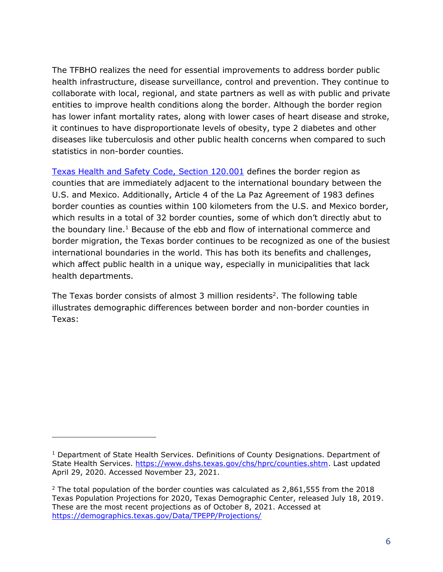The TFBHO realizes the need for essential improvements to address border public health infrastructure, disease surveillance, control and prevention. They continue to collaborate with local, regional, and state partners as well as with public and private entities to improve health conditions along the border. Although the border region has lower infant mortality rates, along with lower cases of heart disease and stroke, it continues to have disproportionate levels of obesity, type 2 diabetes and other diseases like tuberculosis and other public health concerns when compared to such statistics in non-border counties.

[Texas Health and Safety Code, Section 120.001](https://statutes.capitol.texas.gov/Docs/HS/htm/HS.120.htm#120.001) defines the border region as counties that are immediately adjacent to the international boundary between the U.S. and Mexico. Additionally, Article 4 of the La Paz Agreement of 1983 defines border counties as counties within 100 kilometers from the U.S. and Mexico border, which results in a total of 32 border counties, some of which don't directly abut to the boundary line.<sup>1</sup> Because of the ebb and flow of international commerce and border migration, the Texas border continues to be recognized as one of the busiest international boundaries in the world. This has both its benefits and challenges, which affect public health in a unique way, especially in municipalities that lack health departments.

The Texas border consists of almost 3 million residents<sup>2</sup>. The following table illustrates demographic differences between border and non-border counties in Texas:

<sup>&</sup>lt;sup>1</sup> Department of State Health Services. Definitions of County Designations. Department of State Health Services. [https://www.dshs.texas.gov/chs/hprc/counties.shtm.](https://www.dshs.texas.gov/chs/hprc/counties.shtm) Last updated April 29, 2020. Accessed November 23, 2021.

 $2$  The total population of the border counties was calculated as 2,861,555 from the 2018 Texas Population Projections for 2020, Texas Demographic Center, released July 18, 2019. These are the most recent projections as of October 8, 2021. Accessed at <https://demographics.texas.gov/Data/TPEPP/Projections/>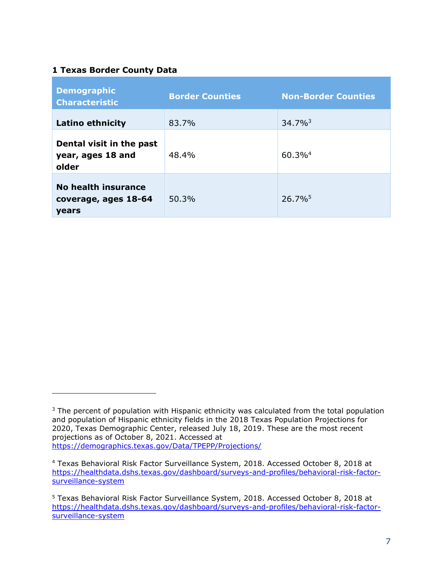#### <span id="page-8-0"></span>**1 Texas Border County Data**

| <b>Demographic</b><br><b>Characteristic</b>                 | <b>Border Counties</b> | <b>Non-Border Counties</b> |
|-------------------------------------------------------------|------------------------|----------------------------|
| <b>Latino ethnicity</b>                                     | 83.7%                  | $34.7\%$ <sup>3</sup>      |
| Dental visit in the past<br>year, ages 18 and<br>older      | 48.4%                  | $60.3\%$ <sup>4</sup>      |
| No health insurance<br>coverage, ages 18-64<br><b>vears</b> | 50.3%                  | $26.7\%$ <sup>5</sup>      |

 $3$  The percent of population with Hispanic ethnicity was calculated from the total population and population of Hispanic ethnicity fields in the 2018 Texas Population Projections for 2020, Texas Demographic Center, released July 18, 2019. These are the most recent projections as of October 8, 2021. Accessed at <https://demographics.texas.gov/Data/TPEPP/Projections/>

<sup>4</sup> Texas Behavioral Risk Factor Surveillance System, 2018. Accessed October 8, 2018 at [https://healthdata.dshs.texas.gov/dashboard/surveys-and-profiles/behavioral-risk-factor](https://healthdata.dshs.texas.gov/dashboard/surveys-and-profiles/behavioral-risk-factor-surveillance-system)[surveillance-system](https://healthdata.dshs.texas.gov/dashboard/surveys-and-profiles/behavioral-risk-factor-surveillance-system)

<sup>5</sup> Texas Behavioral Risk Factor Surveillance System, 2018. Accessed October 8, 2018 at [https://healthdata.dshs.texas.gov/dashboard/surveys-and-profiles/behavioral-risk-factor](https://healthdata.dshs.texas.gov/dashboard/surveys-and-profiles/behavioral-risk-factor-surveillance-system)[surveillance-system](https://healthdata.dshs.texas.gov/dashboard/surveys-and-profiles/behavioral-risk-factor-surveillance-system)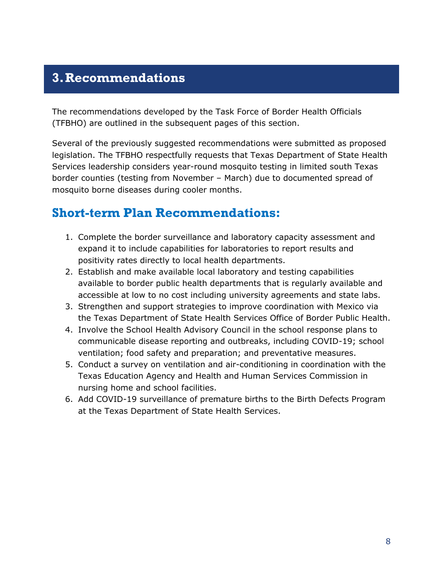## <span id="page-9-0"></span>**3.Recommendations**

The recommendations developed by the Task Force of Border Health Officials (TFBHO) are outlined in the subsequent pages of this section.

Several of the previously suggested recommendations were submitted as proposed legislation. The TFBHO respectfully requests that Texas Department of State Health Services leadership considers year-round mosquito testing in limited south Texas border counties (testing from November – March) due to documented spread of mosquito borne diseases during cooler months.

## <span id="page-9-1"></span>**Short-term Plan Recommendations:**

- 1. Complete the border surveillance and laboratory capacity assessment and expand it to include capabilities for laboratories to report results and positivity rates directly to local health departments.
- 2. Establish and make available local laboratory and testing capabilities available to border public health departments that is regularly available and accessible at low to no cost including university agreements and state labs.
- 3. Strengthen and support strategies to improve coordination with Mexico via the Texas Department of State Health Services Office of Border Public Health.
- 4. Involve the School Health Advisory Council in the school response plans to communicable disease reporting and outbreaks, including COVID-19; school ventilation; food safety and preparation; and preventative measures.
- 5. Conduct a survey on ventilation and air-conditioning in coordination with the Texas Education Agency and Health and Human Services Commission in nursing home and school facilities.
- 6. Add COVID-19 surveillance of premature births to the Birth Defects Program at the Texas Department of State Health Services.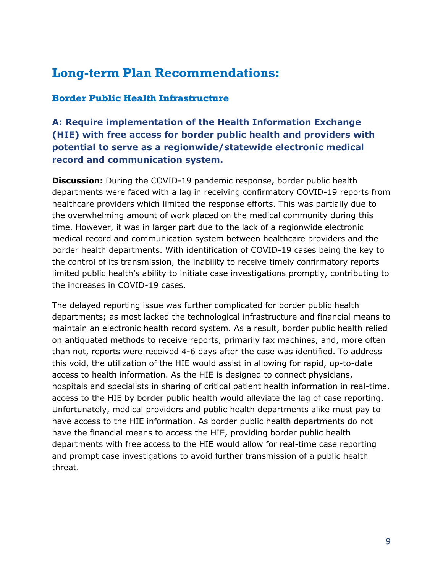## <span id="page-10-0"></span>**Long-term Plan Recommendations:**

#### <span id="page-10-1"></span>**Border Public Health Infrastructure**

## **A: Require implementation of the Health Information Exchange (HIE) with free access for border public health and providers with potential to serve as a regionwide/statewide electronic medical record and communication system.**

**Discussion:** During the COVID-19 pandemic response, border public health departments were faced with a lag in receiving confirmatory COVID-19 reports from healthcare providers which limited the response efforts. This was partially due to the overwhelming amount of work placed on the medical community during this time. However, it was in larger part due to the lack of a regionwide electronic medical record and communication system between healthcare providers and the border health departments. With identification of COVID-19 cases being the key to the control of its transmission, the inability to receive timely confirmatory reports limited public health's ability to initiate case investigations promptly, contributing to the increases in COVID-19 cases.

The delayed reporting issue was further complicated for border public health departments; as most lacked the technological infrastructure and financial means to maintain an electronic health record system. As a result, border public health relied on antiquated methods to receive reports, primarily fax machines, and, more often than not, reports were received 4-6 days after the case was identified. To address this void, the utilization of the HIE would assist in allowing for rapid, up-to-date access to health information. As the HIE is designed to connect physicians, hospitals and specialists in sharing of critical patient health information in real-time, access to the HIE by border public health would alleviate the lag of case reporting. Unfortunately, medical providers and public health departments alike must pay to have access to the HIE information. As border public health departments do not have the financial means to access the HIE, providing border public health departments with free access to the HIE would allow for real-time case reporting and prompt case investigations to avoid further transmission of a public health threat.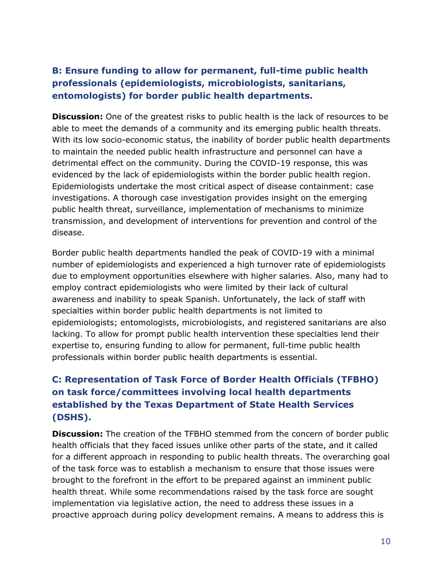## **B: Ensure funding to allow for permanent, full-time public health professionals (epidemiologists, microbiologists, sanitarians, entomologists) for border public health departments.**

**Discussion:** One of the greatest risks to public health is the lack of resources to be able to meet the demands of a community and its emerging public health threats. With its low socio-economic status, the inability of border public health departments to maintain the needed public health infrastructure and personnel can have a detrimental effect on the community. During the COVID-19 response, this was evidenced by the lack of epidemiologists within the border public health region. Epidemiologists undertake the most critical aspect of disease containment: case investigations. A thorough case investigation provides insight on the emerging public health threat, surveillance, implementation of mechanisms to minimize transmission, and development of interventions for prevention and control of the disease.

Border public health departments handled the peak of COVID-19 with a minimal number of epidemiologists and experienced a high turnover rate of epidemiologists due to employment opportunities elsewhere with higher salaries. Also, many had to employ contract epidemiologists who were limited by their lack of cultural awareness and inability to speak Spanish. Unfortunately, the lack of staff with specialties within border public health departments is not limited to epidemiologists; entomologists, microbiologists, and registered sanitarians are also lacking. To allow for prompt public health intervention these specialties lend their expertise to, ensuring funding to allow for permanent, full-time public health professionals within border public health departments is essential.

## **C: Representation of Task Force of Border Health Officials (TFBHO) on task force/committees involving local health departments established by the Texas Department of State Health Services (DSHS).**

**Discussion:** The creation of the TFBHO stemmed from the concern of border public health officials that they faced issues unlike other parts of the state, and it called for a different approach in responding to public health threats. The overarching goal of the task force was to establish a mechanism to ensure that those issues were brought to the forefront in the effort to be prepared against an imminent public health threat. While some recommendations raised by the task force are sought implementation via legislative action, the need to address these issues in a proactive approach during policy development remains. A means to address this is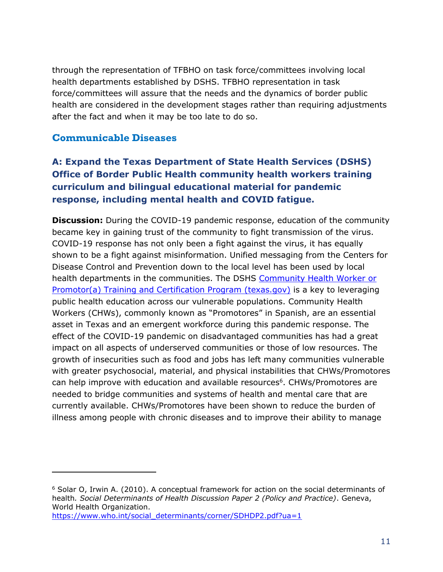through the representation of TFBHO on task force/committees involving local health departments established by DSHS. TFBHO representation in task force/committees will assure that the needs and the dynamics of border public health are considered in the development stages rather than requiring adjustments after the fact and when it may be too late to do so.

#### <span id="page-12-0"></span>**Communicable Diseases**

## **A: Expand the Texas Department of State Health Services (DSHS) Office of Border Public Health community health workers training curriculum and bilingual educational material for pandemic response, including mental health and COVID fatigue.**

**Discussion:** During the COVID-19 pandemic response, education of the community became key in gaining trust of the community to fight transmission of the virus. COVID-19 response has not only been a fight against the virus, it has equally shown to be a fight against misinformation. Unified messaging from the Centers for Disease Control and Prevention down to the local level has been used by local health departments in the communities. The DSHS [Community Health Worker or](https://www.dshs.texas.gov/mch/chw/Community-Health-Workers_Program.aspx)  [Promotor\(a\) Training and Certification Program \(texas.gov\)](https://www.dshs.texas.gov/mch/chw/Community-Health-Workers_Program.aspx) is a key to leveraging public health education across our vulnerable populations. Community Health Workers (CHWs), commonly known as "Promotores" in Spanish, are an essential asset in Texas and an emergent workforce during this pandemic response. The effect of the COVID-19 pandemic on disadvantaged communities has had a great impact on all aspects of underserved communities or those of low resources. The growth of insecurities such as food and jobs has left many communities vulnerable with greater psychosocial, material, and physical instabilities that CHWs/Promotores can help improve with education and available resources<sup>6</sup>. CHWs/Promotores are needed to bridge communities and systems of health and mental care that are currently available. CHWs/Promotores have been shown to reduce the burden of illness among people with chronic diseases and to improve their ability to manage

 $6$  Solar O, Irwin A, (2010). A conceptual framework for action on the social determinants of health*. Social Determinants of Health Discussion Paper 2 (Policy and Practice)*. Geneva, World Health Organization.

[https://www.who.int/social\\_determinants/corner/SDHDP2.pdf?ua=1](https://www.who.int/social_determinants/corner/SDHDP2.pdf?ua=1)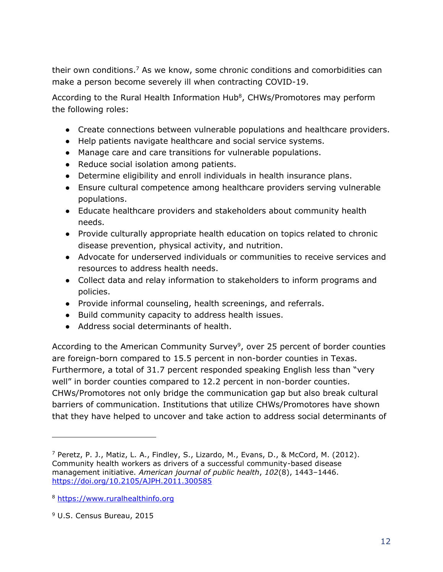their own conditions.<sup>7</sup> As we know, some chronic conditions and comorbidities can make a person become severely ill when contracting COVID-19.

According to the Rural Health Information Hub<sup>8</sup>, CHWs/Promotores may perform the following roles:

- Create connections between vulnerable populations and healthcare providers.
- Help patients navigate healthcare and social service systems.
- Manage care and care transitions for vulnerable populations.
- Reduce social isolation among patients.
- Determine eligibility and enroll individuals in health insurance plans.
- Ensure cultural competence among healthcare providers serving vulnerable populations.
- Educate healthcare providers and stakeholders about community health needs.
- Provide culturally appropriate health education on topics related to chronic disease prevention, physical activity, and nutrition.
- Advocate for underserved individuals or communities to receive services and resources to address health needs.
- Collect data and relay information to stakeholders to inform programs and policies.
- Provide informal counseling, health screenings, and referrals.
- Build community capacity to address health issues.
- <span id="page-13-0"></span>● Address social determinants of health.

According to the American Community Survey<sup>9</sup>, over 25 percent of border counties are foreign-born compared to 15.5 percent in non-border counties in Texas. Furthermore, a total of 31.7 percent responded speaking English less than "very well" in border counties compared to 12.2 percent in non-border counties. CHWs/Promotores not only bridge the communication gap but also break cultural barriers of communication. Institutions that utilize CHWs/Promotores have shown that they have helped to uncover and take action to address social determinants of

<sup>7</sup> Peretz, P. J., Matiz, L. A., Findley, S., Lizardo, M., Evans, D., & McCord, M. (2012). Community health workers as drivers of a successful community-based disease management initiative. *American journal of public health*, *102*(8), 1443–1446. <https://doi.org/10.2105/AJPH.2011.300585>

<sup>8</sup> [https://www.ruralhealthinfo.org](https://www.ruralhealthinfo.org/)

<sup>9</sup> U.S. Census Bureau, 2015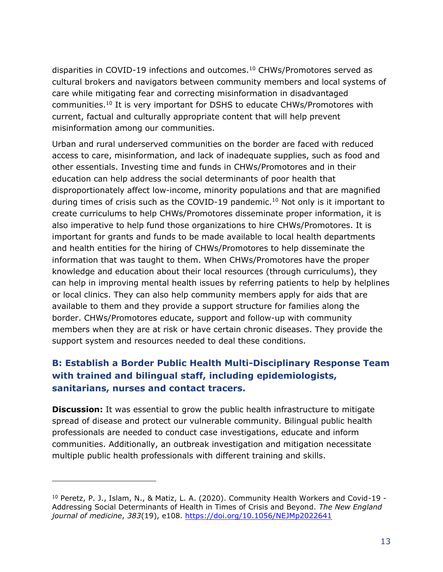<span id="page-14-0"></span>disparities in COVID-19 infections and outcomes. [10](#page-14-0) CHWs/Promotores served as cultural brokers and navigators between community members and local systems of care while mitigating fear and correcting misinformation in disadvantaged communities. <sup>10</sup> It is very important for DSHS to educate CHWs/Promotores with current, factual and culturally appropriate content that will help prevent misinformation among our communities.

Urban and rural underserved communities on the border are faced with reduced access to care, misinformation, and lack of inadequate supplies, such as food and other essentials. Investing time and funds in CHWs/Promotores and in their education can help address the social determinants of poor health that disproportionately affect low-income, minority populations and that are magnified during times of crisis such as the COVID-19 pandemic.<sup>[10](#page-14-0)</sup> Not only is it important to create curriculums to help CHWs/Promotores disseminate proper information, it is also imperative to help fund those organizations to hire CHWs/Promotores. It is important for grants and funds to be made available to local health departments and health entities for the hiring of CHWs/Promotores to help disseminate the information that was taught to them. When CHWs/Promotores have the proper knowledge and education about their local resources (through curriculums), they can help in improving mental health issues by referring patients to help by helplines or local clinics. They can also help community members apply for aids that are available to them and they provide a support structure for families along the border. CHWs/Promotores educate, support and follow-up with community members when they are at risk or have certain chronic diseases. They provide the support system and resources needed to deal these conditions.

### **B: Establish a Border Public Health Multi-Disciplinary Response Team with trained and bilingual staff, including epidemiologists, sanitarians, nurses and contact tracers.**

**Discussion:** It was essential to grow the public health infrastructure to mitigate spread of disease and protect our vulnerable community. Bilingual public health professionals are needed to conduct case investigations, educate and inform communities. Additionally, an outbreak investigation and mitigation necessitate multiple public health professionals with different training and skills.

<sup>&</sup>lt;sup>10</sup> Peretz, P. J., Islam, N., & Matiz, L. A. (2020). Community Health Workers and Covid-19 -Addressing Social Determinants of Health in Times of Crisis and Beyond. *The New England journal of medicine*, *383*(19), e108.<https://doi.org/10.1056/NEJMp2022641>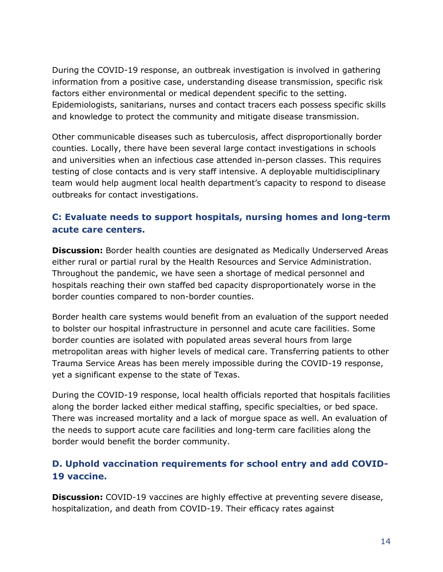During the COVID-19 response, an outbreak investigation is involved in gathering information from a positive case, understanding disease transmission, specific risk factors either environmental or medical dependent specific to the setting. Epidemiologists, sanitarians, nurses and contact tracers each possess specific skills and knowledge to protect the community and mitigate disease transmission.

Other communicable diseases such as tuberculosis, affect disproportionally border counties. Locally, there have been several large contact investigations in schools and universities when an infectious case attended in-person classes. This requires testing of close contacts and is very staff intensive. A deployable multidisciplinary team would help augment local health department's capacity to respond to disease outbreaks for contact investigations.

### **C: Evaluate needs to support hospitals, nursing homes and long-term acute care centers.**

**Discussion:** Border health counties are designated as Medically Underserved Areas either rural or partial rural by the Health Resources and Service Administration. Throughout the pandemic, we have seen a shortage of medical personnel and hospitals reaching their own staffed bed capacity disproportionately worse in the border counties compared to non-border counties.

Border health care systems would benefit from an evaluation of the support needed to bolster our hospital infrastructure in personnel and acute care facilities. Some border counties are isolated with populated areas several hours from large metropolitan areas with higher levels of medical care. Transferring patients to other Trauma Service Areas has been merely impossible during the COVID-19 response, yet a significant expense to the state of Texas.

During the COVID-19 response, local health officials reported that hospitals facilities along the border lacked either medical staffing, specific specialties, or bed space. There was increased mortality and a lack of morgue space as well. An evaluation of the needs to support acute care facilities and long-term care facilities along the border would benefit the border community.

### **D. Uphold vaccination requirements for school entry and add COVID-19 vaccine.**

**Discussion:** COVID-19 vaccines are highly effective at preventing severe disease, hospitalization, and death from COVID-19. Their efficacy rates against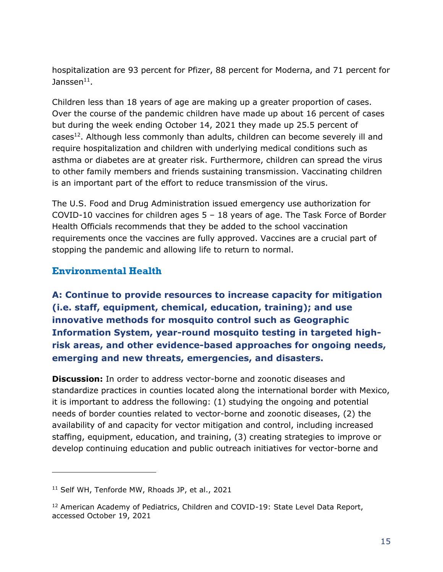hospitalization are 93 percent for Pfizer, 88 percent for Moderna, and 71 percent for Janssen $^{\rm 11}.$ 

Children less than 18 years of age are making up a greater proportion of cases. Over the course of the pandemic children have made up about 16 percent of cases but during the week ending October 14, 2021 they made up 25.5 percent of cases<sup>12</sup>. Although less commonly than adults, children can become severely ill and require hospitalization and children with underlying medical conditions such as asthma or diabetes are at greater risk. Furthermore, children can spread the virus to other family members and friends sustaining transmission. Vaccinating children is an important part of the effort to reduce transmission of the virus.

The U.S. Food and Drug Administration issued emergency use authorization for COVID-10 vaccines for children ages  $5 - 18$  years of age. The Task Force of Border Health Officials recommends that they be added to the school vaccination requirements once the vaccines are fully approved. Vaccines are a crucial part of stopping the pandemic and allowing life to return to normal.

#### <span id="page-16-0"></span>**Environmental Health**

**A: Continue to provide resources to increase capacity for mitigation (i.e. staff, equipment, chemical, education, training); and use innovative methods for mosquito control such as Geographic Information System, year-round mosquito testing in targeted highrisk areas, and other evidence-based approaches for ongoing needs, emerging and new threats, emergencies, and disasters.**

**Discussion:** In order to address vector-borne and zoonotic diseases and standardize practices in counties located along the international border with Mexico, it is important to address the following: (1) studying the ongoing and potential needs of border counties related to vector-borne and zoonotic diseases, (2) the availability of and capacity for vector mitigation and control, including increased staffing, equipment, education, and training, (3) creating strategies to improve or develop continuing education and public outreach initiatives for vector-borne and

<sup>11</sup> Self WH, Tenforde MW, Rhoads JP, et al., 2021

<sup>&</sup>lt;sup>12</sup> American Academy of Pediatrics, Children and COVID-19: State Level Data Report, accessed October 19, 2021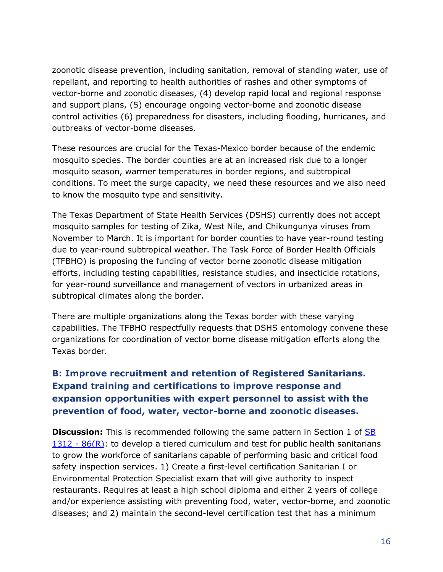zoonotic disease prevention, including sanitation, removal of standing water, use of repellant, and reporting to health authorities of rashes and other symptoms of vector-borne and zoonotic diseases, (4) develop rapid local and regional response and support plans, (5) encourage ongoing vector-borne and zoonotic disease control activities (6) preparedness for disasters, including flooding, hurricanes, and outbreaks of vector-borne diseases.

These resources are crucial for the Texas-Mexico border because of the endemic mosquito species. The border counties are at an increased risk due to a longer mosquito season, warmer temperatures in border regions, and subtropical conditions. To meet the surge capacity, we need these resources and we also need to know the mosquito type and sensitivity.

The Texas Department of State Health Services (DSHS) currently does not accept mosquito samples for testing of Zika, West Nile, and Chikungunya viruses from November to March. It is important for border counties to have year-round testing due to year-round subtropical weather. The Task Force of Border Health Officials (TFBHO) is proposing the funding of vector borne zoonotic disease mitigation efforts, including testing capabilities, resistance studies, and insecticide rotations, for year-round surveillance and management of vectors in urbanized areas in subtropical climates along the border.

There are multiple organizations along the Texas border with these varying capabilities. The TFBHO respectfully requests that DSHS entomology convene these organizations for coordination of vector borne disease mitigation efforts along the Texas border.

## **B: Improve recruitment and retention of Registered Sanitarians. Expand training and certifications to improve response and expansion opportunities with expert personnel to assist with the prevention of food, water, vector-borne and zoonotic diseases.**

**Discussion:** This is recommended following the same pattern in Section 1 of SB  $1312 - 86(R)$  $1312 - 86(R)$ : to develop a tiered curriculum and test for public health sanitarians to grow the workforce of sanitarians capable of performing basic and critical food safety inspection services. 1) Create a first-level certification Sanitarian I or Environmental Protection Specialist exam that will give authority to inspect restaurants. Requires at least a high school diploma and either 2 years of college and/or experience assisting with preventing food, water, vector-borne, and zoonotic diseases; and 2) maintain the second-level certification test that has a minimum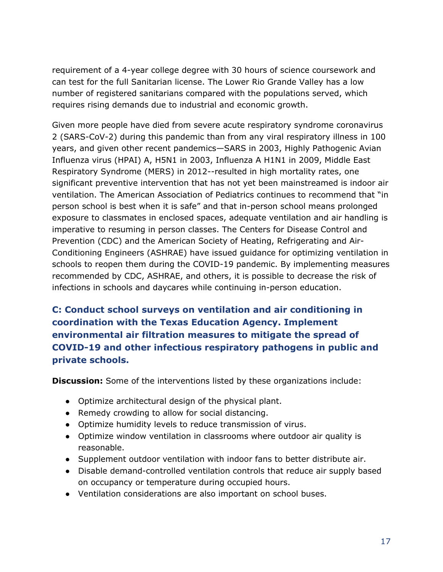requirement of a 4-year college degree with 30 hours of science coursework and can test for the full Sanitarian license. The Lower Rio Grande Valley has a low number of registered sanitarians compared with the populations served, which requires rising demands due to industrial and economic growth.

Given more people have died from severe acute respiratory syndrome coronavirus 2 (SARS-CoV-2) during this pandemic than from any viral respiratory illness in 100 years, and given other recent pandemics—SARS in 2003, Highly Pathogenic Avian Influenza virus (HPAI) A, H5N1 in 2003, Influenza A H1N1 in 2009, Middle East Respiratory Syndrome (MERS) in 2012--resulted in high mortality rates, one significant preventive intervention that has not yet been mainstreamed is indoor air ventilation. The American Association of Pediatrics continues to recommend that "in person school is best when it is safe" and that in-person school means prolonged exposure to classmates in enclosed spaces, adequate ventilation and air handling is imperative to resuming in person classes. The Centers for Disease Control and Prevention (CDC) and the American Society of Heating, Refrigerating and Air-Conditioning Engineers (ASHRAE) have issued guidance for optimizing ventilation in schools to reopen them during the COVID-19 pandemic. By implementing measures recommended by CDC, ASHRAE, and others, it is possible to decrease the risk of infections in schools and daycares while continuing in-person education.

**C: Conduct school surveys on ventilation and air conditioning in coordination with the Texas Education Agency. Implement environmental air filtration measures to mitigate the spread of COVID-19 and other infectious respiratory pathogens in public and private schools.**

**Discussion:** Some of the interventions listed by these organizations include:

- Optimize architectural design of the physical plant.
- Remedy crowding to allow for social distancing.
- Optimize humidity levels to reduce transmission of virus.
- Optimize window ventilation in classrooms where outdoor air quality is reasonable.
- Supplement outdoor ventilation with indoor fans to better distribute air.
- Disable demand-controlled ventilation controls that reduce air supply based on occupancy or temperature during occupied hours.
- Ventilation considerations are also important on school buses.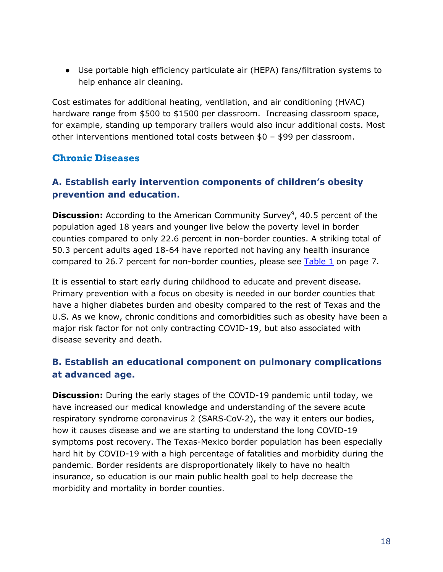● Use portable high efficiency particulate air (HEPA) fans/filtration systems to help enhance air cleaning.

Cost estimates for additional heating, ventilation, and air conditioning (HVAC) hardware range from \$500 to \$1500 per classroom. Increasing classroom space, for example, standing up temporary trailers would also incur additional costs. Most other interventions mentioned total costs between \$0 – \$99 per classroom.

#### <span id="page-19-0"></span>**Chronic Diseases**

### **A. Establish early intervention components of children's obesity prevention and education.**

**Discussion:** According to the American Community Survey<sup>[9](#page-13-0)</sup>, 40.5 percent of the population aged 18 years and younger live below the poverty level in border counties compared to only 22.6 percent in non-border counties. A striking total of 50.3 percent adults aged 18-64 have reported not having any health insurance compared to 26.7 percent for non-border counties, please see  $Table 1$  on page 7.

It is essential to start early during childhood to educate and prevent disease. Primary prevention with a focus on obesity is needed in our border counties that have a higher diabetes burden and obesity compared to the rest of Texas and the U.S. As we know, chronic conditions and comorbidities such as obesity have been a major risk factor for not only contracting COVID-19, but also associated with disease severity and death.

### **B. Establish an educational component on pulmonary complications at advanced age.**

**Discussion:** During the early stages of the COVID-19 pandemic until today, we have increased our medical knowledge and understanding of the severe acute respiratory syndrome coronavirus 2 (SARS‑CoV‑2), the way it enters our bodies, how it causes disease and we are starting to understand the long COVID-19 symptoms post recovery. The Texas-Mexico border population has been especially hard hit by COVID-19 with a high percentage of fatalities and morbidity during the pandemic. Border residents are disproportionately likely to have no health insurance, so education is our main public health goal to help decrease the morbidity and mortality in border counties.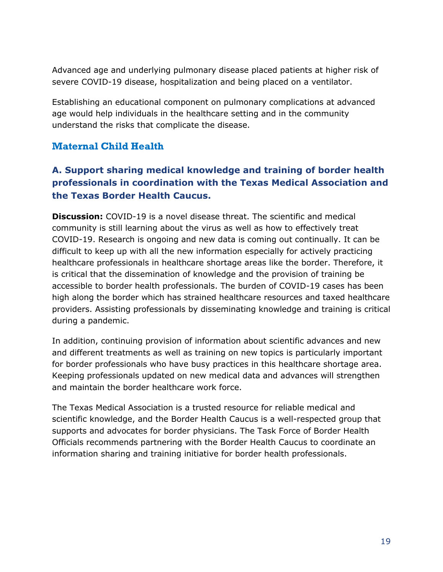Advanced age and underlying pulmonary disease placed patients at higher risk of severe COVID-19 disease, hospitalization and being placed on a ventilator.

Establishing an educational component on pulmonary complications at advanced age would help individuals in the healthcare setting and in the community understand the risks that complicate the disease.

#### <span id="page-20-0"></span>**Maternal Child Health**

### **A. Support sharing medical knowledge and training of border health professionals in coordination with the Texas Medical Association and the Texas Border Health Caucus.**

**Discussion:** COVID-19 is a novel disease threat. The scientific and medical community is still learning about the virus as well as how to effectively treat COVID-19. Research is ongoing and new data is coming out continually. It can be difficult to keep up with all the new information especially for actively practicing healthcare professionals in healthcare shortage areas like the border. Therefore, it is critical that the dissemination of knowledge and the provision of training be accessible to border health professionals. The burden of COVID-19 cases has been high along the border which has strained healthcare resources and taxed healthcare providers. Assisting professionals by disseminating knowledge and training is critical during a pandemic.

In addition, continuing provision of information about scientific advances and new and different treatments as well as training on new topics is particularly important for border professionals who have busy practices in this healthcare shortage area. Keeping professionals updated on new medical data and advances will strengthen and maintain the border healthcare work force.

The Texas Medical Association is a trusted resource for reliable medical and scientific knowledge, and the Border Health Caucus is a well-respected group that supports and advocates for border physicians. The Task Force of Border Health Officials recommends partnering with the Border Health Caucus to coordinate an information sharing and training initiative for border health professionals.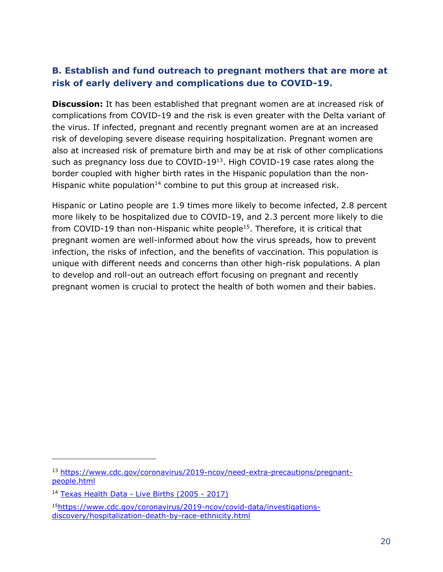### **B. Establish and fund outreach to pregnant mothers that are more at risk of early delivery and complications due to COVID-19.**

**Discussion:** It has been established that pregnant women are at increased risk of complications from COVID-19 and the risk is even greater with the Delta variant of the virus. If infected, pregnant and recently pregnant women are at an increased risk of developing severe disease requiring hospitalization. Pregnant women are also at increased risk of premature birth and may be at risk of other complications such as pregnancy loss due to COVID-19<sup>13</sup>. High COVID-19 case rates along the border coupled with higher birth rates in the Hispanic population than the non-Hispanic white population<sup>14</sup> combine to put this group at increased risk.

Hispanic or Latino people are 1.9 times more likely to become infected, 2.8 percent more likely to be hospitalized due to COVID-19, and 2.3 percent more likely to die from COVID-19 than non-Hispanic white people<sup>15</sup>. Therefore, it is critical that pregnant women are well-informed about how the virus spreads, how to prevent infection, the risks of infection, and the benefits of vaccination. This population is unique with different needs and concerns than other high-risk populations. A plan to develop and roll-out an outreach effort focusing on pregnant and recently pregnant women is crucial to protect the health of both women and their babies.

<sup>13</sup> [https://www.cdc.gov/coronavirus/2019-ncov/need-extra-precautions/pregnant](https://www.cdc.gov/coronavirus/2019-ncov/need-extra-precautions/pregnant-people.html)[people.html](https://www.cdc.gov/coronavirus/2019-ncov/need-extra-precautions/pregnant-people.html)

<sup>14</sup> [Texas Health Data -](https://healthdata.dshs.texas.gov/dashboard/births-and-deaths/live-births-2005-2017) Live Births (2005 - 2017)

<sup>15</sup>[https://www.cdc.gov/coronavirus/2019-ncov/covid-data/investigations](https://www.cdc.gov/coronavirus/2019-ncov/covid-data/investigations-discovery/hospitalization-death-by-race-ethnicity.html)[discovery/hospitalization-death-by-race-ethnicity.html](https://www.cdc.gov/coronavirus/2019-ncov/covid-data/investigations-discovery/hospitalization-death-by-race-ethnicity.html)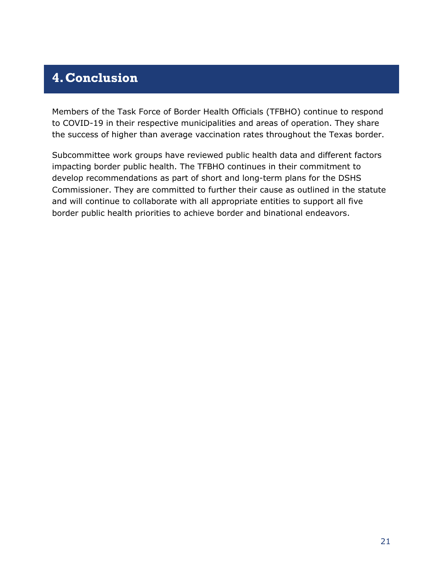## <span id="page-22-0"></span>**4.Conclusion**

Members of the Task Force of Border Health Officials (TFBHO) continue to respond to COVID-19 in their respective municipalities and areas of operation. They share the success of higher than average vaccination rates throughout the Texas border.

Subcommittee work groups have reviewed public health data and different factors impacting border public health. The TFBHO continues in their commitment to develop recommendations as part of short and long-term plans for the DSHS Commissioner. They are committed to further their cause as outlined in the statute and will continue to collaborate with all appropriate entities to support all five border public health priorities to achieve border and binational endeavors.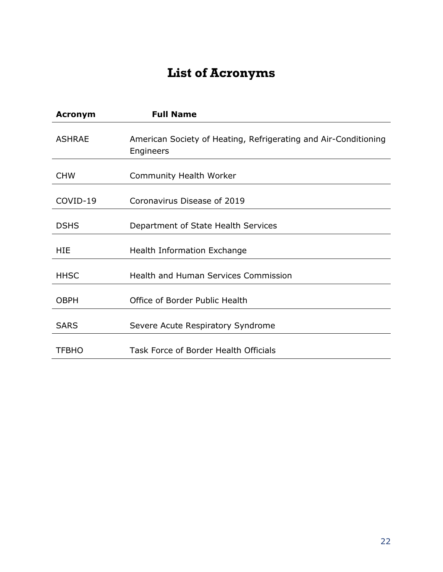# **List of Acronyms**

<span id="page-23-0"></span>

| <b>Acronym</b> | <b>Full Name</b>                                                             |
|----------------|------------------------------------------------------------------------------|
| <b>ASHRAE</b>  | American Society of Heating, Refrigerating and Air-Conditioning<br>Engineers |
| <b>CHW</b>     | Community Health Worker                                                      |
| COVID-19       | Coronavirus Disease of 2019                                                  |
| <b>DSHS</b>    | Department of State Health Services                                          |
| <b>HIF</b>     | Health Information Exchange                                                  |
| <b>HHSC</b>    | <b>Health and Human Services Commission</b>                                  |
| <b>OBPH</b>    | Office of Border Public Health                                               |
| <b>SARS</b>    | Severe Acute Respiratory Syndrome                                            |
| TFBHO          | Task Force of Border Health Officials                                        |